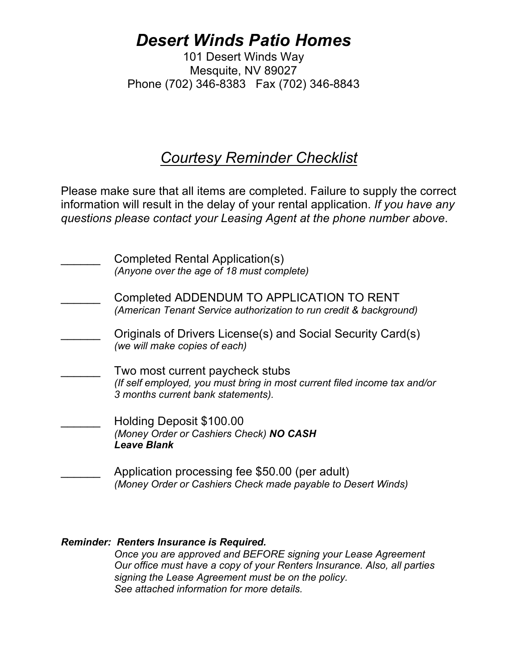## *Desert Winds Patio Homes*

101 Desert Winds Way Mesquite, NV 89027 Phone (702) 346-8383 Fax (702) 346-8843

## *Courtesy Reminder Checklist*

Please make sure that all items are completed. Failure to supply the correct information will result in the delay of your rental application. *If you have any questions please contact your Leasing Agent at the phone number above*.

| Completed Rental Application(s)<br>(Anyone over the age of 18 must complete)                                                                       |
|----------------------------------------------------------------------------------------------------------------------------------------------------|
| Completed ADDENDUM TO APPLICATION TO RENT<br>(American Tenant Service authorization to run credit & background)                                    |
| Originals of Drivers License(s) and Social Security Card(s)<br>(we will make copies of each)                                                       |
| Two most current paycheck stubs<br>(If self employed, you must bring in most current filed income tax and/or<br>3 months current bank statements). |
| Holding Deposit \$100.00<br>(Money Order or Cashiers Check) NO CASH<br><b>Leave Blank</b>                                                          |
| Application processing fee \$50.00 (per adult)<br>(Money Order or Cashiers Check made payable to Desert Winds)                                     |

### *Reminder: Renters Insurance is Required. Once you are approved and BEFORE signing your Lease Agreement Our office must have a copy of your Renters Insurance. Also, all parties signing the Lease Agreement must be on the policy. See attached information for more details.*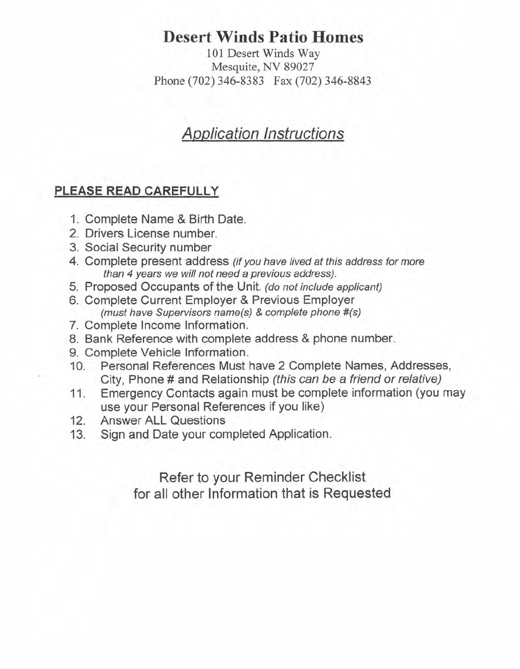## **Desert Winds Patio Homes**

101 Desert Winds Way Mesquite, NV 89027 Phone (702) 346-8383 Fax (702) 346-8843

## **Application Instructions**

### PLEASE READ CAREFULLY

- 1. Complete Name & Birth Date.
- 2. Drivers License number.
- 3. Social Security number
- 4. Complete present address (if you have lived at this address for more than 4 years we will not need a previous address).
- 5. Proposed Occupants of the Unit. (do not include applicant)
- 6. Complete Current Employer & Previous Employer (must have Supervisors name(s) & complete phone #(s)
- 7. Complete Income Information.
- 8. Bank Reference with complete address & phone number.
- 9. Complete Vehicle Information.
- Personal References Must have 2 Complete Names, Addresses,  $10.$ City, Phone # and Relationship (this can be a friend or relative)
- Emergency Contacts again must be complete information (you may 11. use your Personal References if you like)
- **Answer ALL Questions**  $12.$
- $13.$ Sign and Date your completed Application.

Refer to your Reminder Checklist for all other Information that is Requested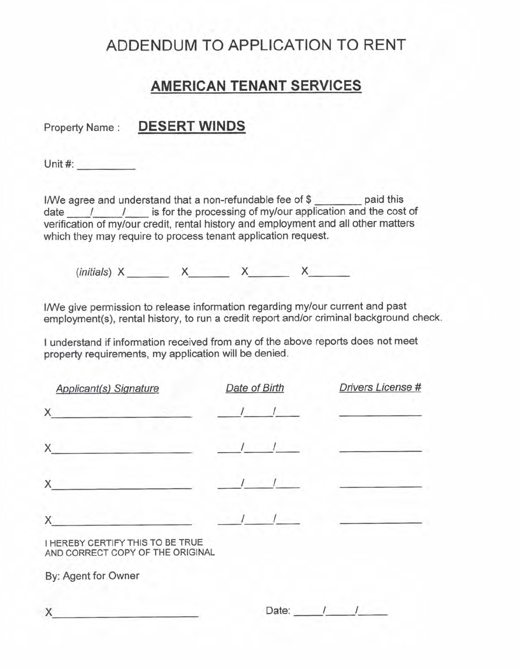## ADDENDUM TO APPLICATION TO RENT

## **AMERICAN TENANT SERVICES**

### Property Name: DESERT WINDS

Unit  $#$ :

I/We agree and understand that a non-refundable fee of \$ date  $\left\lvert$  / is for the processing of my/our application and the cost of verification of my/our credit, rental history and employment and all other matters which they may require to process tenant application request.

 $(initials)$  X X X X

I/We give permission to release information regarding my/our current and past employment(s), rental history, to run a credit report and/or criminal background check.

I understand if information received from any of the above reports does not meet property requirements, my application will be denied.

| <b>Applicant(s) Signature</b> | Date of Birth | Drivers License # |
|-------------------------------|---------------|-------------------|
| X                             |               |                   |
| Χ                             |               |                   |
| X                             |               |                   |
|                               |               |                   |

**I HEREBY CERTIFY THIS TO BE TRUE** AND CORRECT COPY OF THE ORIGINAL

By: Agent for Owner

| Date: |  |
|-------|--|
|       |  |
|       |  |

Χ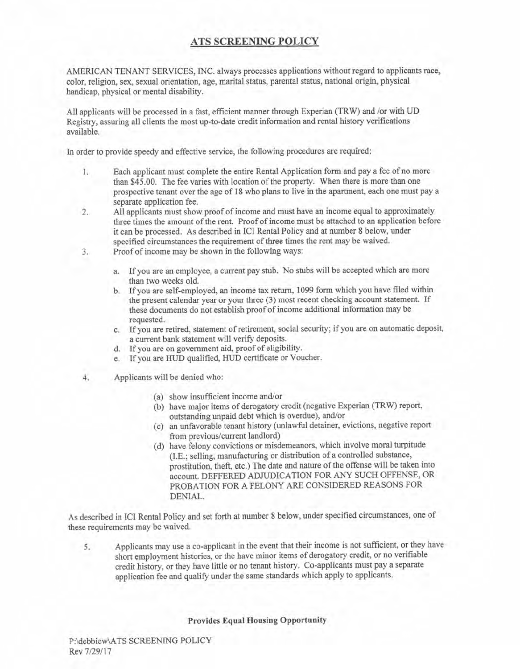### **ATS SCREENING POLICY**

AMERICAN TENANT SERVICES, INC. always processes applications without regard to applicants race, color, religion, sex, sexual orientation, age, marital status, parental status, national origin, physical handicap, physical or mental disability.

All applicants will be processed in a fast, efficient manner through Experian (TRW) and /or with UD Registry, assuring all clients the most up-to-date credit information and rental history verifications available.

In order to provide speedy and effective service, the following procedures are required:

- Each applicant must complete the entire Rental Application form and pay a fee of no more Ι. than \$45.00. The fee varies with location of the property. When there is more than one prospective tenant over the age of 18 who plans to live in the apartment, each one must pay a separate application fee.
- All applicants must show proof of income and must have an income equal to approximately  $2.$ three times the amount of the rent. Proof of income must be attached to an application before it can be processed. As described in ICI Rental Policy and at number 8 below, under specified circumstances the requirement of three times the rent may be waived.
- Proof of income may be shown in the following ways: 3.
	- a. If you are an employee, a current pay stub. No stubs will be accepted which are more than two weeks old.
	- b. If you are self-employed, an income tax return, 1099 form which you have filed within the present calendar year or your three (3) most recent checking account statement. If these documents do not establish proof of income additional information may be requested.
	- c. If you are retired, statement of retirement, social security; if you are on automatic deposit, a current bank statement will verify deposits.
	- d. If you are on government aid, proof of eligibility.
	- e. If you are HUD qualified, HUD certificate or Voucher.
- Applicants will be denied who: 4.
	- (a) show insufficient income and/or
	- (b) have major items of derogatory credit (negative Experian (TRW) report, outstanding unpaid debt which is overdue), and/or
	- (c) an unfavorable tenant history (unlawful detainer, evictions, negative report from previous/current landlord)
	- (d) have felony convictions or misdemeanors, which involve moral turpitude (I.E.; selling, manufacturing or distribution of a controlled substance, prostitution, theft, etc.) The date and nature of the offense will be taken into account. DEFFERED ADJUDICATION FOR ANY SUCH OFFENSE, OR PROBATION FOR A FELONY ARE CONSIDERED REASONS FOR DENIAL.

As described in ICI Rental Policy and set forth at number 8 below, under specified circumstances, one of these requirements may be waived.

Applicants may use a co-applicant in the event that their income is not sufficient, or they have 5. short employment histories, or the have minor items of derogatory credit, or no verifiable credit history, or they have little or no tenant history. Co-applicants must pay a separate application fee and qualify under the same standards which apply to applicants.

**Provides Equal Housing Opportunity**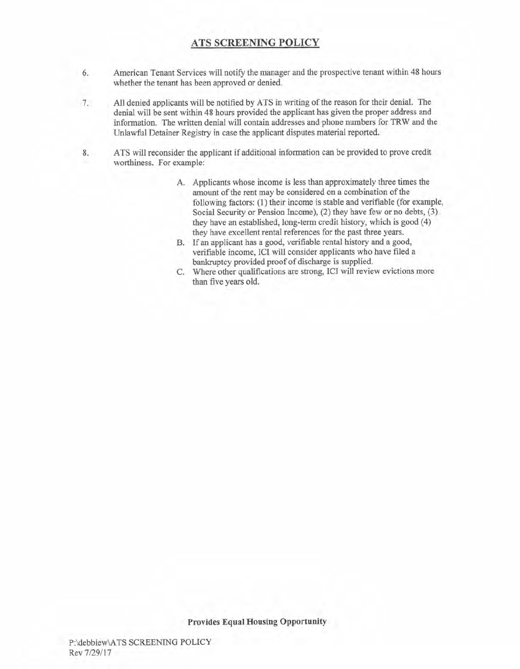### **ATS SCREENING POLICY**

- American Tenant Services will notify the manager and the prospective tenant within 48 hours 6. whether the tenant has been approved or denied.
- All denied applicants will be notified by ATS in writing of the reason for their denial. The  $7.$ denial will be sent within 48 hours provided the applicant has given the proper address and information. The written denial will contain addresses and phone numbers for TRW and the Unlawful Detainer Registry in case the applicant disputes material reported.
- ATS will reconsider the applicant if additional information can be provided to prove credit 8. worthiness. For example:
	- A. Applicants whose income is less than approximately three times the amount of the rent may be considered on a combination of the following factors: (1) their income is stable and verifiable (for example, Social Security or Pension Income), (2) they have few or no debts, (3) they have an established, long-term credit history, which is good (4) they have excellent rental references for the past three years.
	- B. If an applicant has a good, verifiable rental history and a good, verifiable income, ICI will consider applicants who have filed a bankruptcy provided proof of discharge is supplied.
	- C. Where other qualifications are strong, ICI will review evictions more than five years old.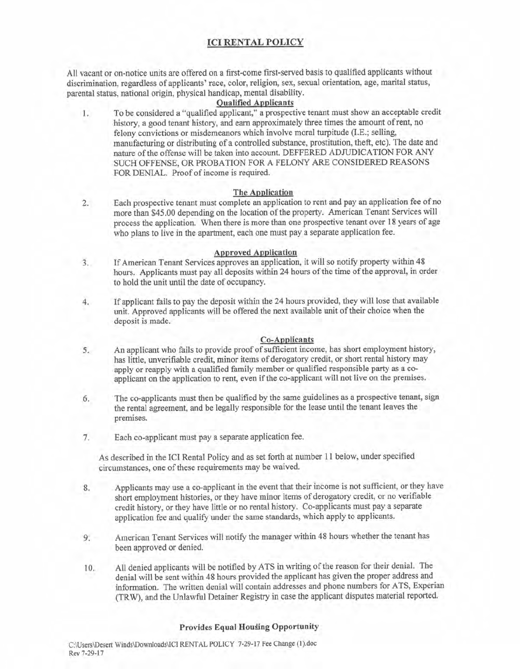### **ICI RENTAL POLICY**

All vacant or on-notice units are offered on a first-come first-served basis to qualified applicants without discrimination, regardless of applicants' race, color, religion, sex, sexual orientation, age, marital status, parental status, national origin, physical handicap, mental disability.

#### **Oualified Applicants**

To be considered a "qualified applicant," a prospective tenant must show an acceptable credit  $1.7$ history, a good tenant history, and earn approximately three times the amount of rent, no felony convictions or misdemeanors which involve moral turpitude (I.E.; selling, manufacturing or distributing of a controlled substance, prostitution, theft, etc). The date and nature of the offense will be taken into account. DEFFERED ADJUDICATION FOR ANY SUCH OFFENSE, OR PROBATION FOR A FELONY ARE CONSIDERED REASONS FOR DENIAL. Proof of income is required.

#### The Application

Each prospective tenant must complete an application to rent and pay an application fee of no  $2.$ more than \$45.00 depending on the location of the property. American Tenant Services will process the application. When there is more than one prospective tenant over 18 years of age who plans to live in the apartment, each one must pay a separate application fee.

#### **Approved Application**

- $3.$ If American Tenant Services approves an application, it will so notify property within 48 hours. Applicants must pay all deposits within 24 hours of the time of the approval, in order to hold the unit until the date of occupancy.
- 4. If applicant fails to pay the deposit within the 24 hours provided, they will lose that available unit. Approved applicants will be offered the next available unit of their choice when the deposit is made.

#### **Co-Applicants**

- An applicant who fails to provide proof of sufficient income, has short employment history, 5. has little, unverifiable credit, minor items of derogatory credit, or short rental history may apply or reapply with a qualified family member or qualified responsible party as a coapplicant on the application to rent, even if the co-applicant will not live on the premises.
- The co-applicants must then be qualified by the same guidelines as a prospective tenant, sign 6. the rental agreement, and be legally responsible for the lease until the tenant leaves the premises.
- Each co-applicant must pay a separate application fee.  $7.$

As described in the ICI Rental Policy and as set forth at number 11 below, under specified circumstances, one of these requirements may be waived.

- Applicants may use a co-applicant in the event that their income is not sufficient, or they have 8. short employment histories, or they have minor items of derogatory credit, or no verifiable credit history, or they have little or no rental history. Co-applicants must pay a separate application fee and qualify under the same standards, which apply to applicants.
- American Tenant Services will notify the manager within 48 hours whether the tenant has 9. been approved or denied.
- All denied applicants will be notified by ATS in writing of the reason for their denial. The 10. denial will be sent within 48 hours provided the applicant has given the proper address and information. The written denial will contain addresses and phone numbers for ATS, Experian (TRW), and the Unlawful Detainer Registry in case the applicant disputes material reported.

#### **Provides Equal Housing Opportunity**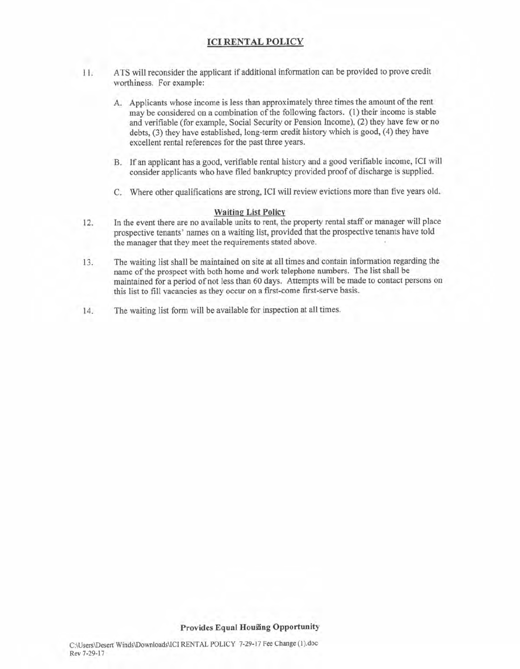#### **ICI RENTAL POLICY**

- ATS will reconsider the applicant if additional information can be provided to prove credit  $11<sub>1</sub>$ worthiness. For example:
	- A. Applicants whose income is less than approximately three times the amount of the rent may be considered on a combination of the following factors. (1) their income is stable and verifiable (for example, Social Security or Pension Income), (2) they have few or no debts, (3) they have established, long-term credit history which is good, (4) they have excellent rental references for the past three years.
	- B. If an applicant has a good, verifiable rental history and a good verifiable income, ICI will consider applicants who have filed bankruptcy provided proof of discharge is supplied.
	- C. Where other qualifications are strong, ICI will review evictions more than five years old.

#### **Waiting List Policy**

- In the event there are no available units to rent, the property rental staff or manager will place  $12.$ prospective tenants' names on a waiting list, provided that the prospective tenants have told the manager that they meet the requirements stated above.
- The waiting list shall be maintained on site at all times and contain information regarding the 13. name of the prospect with both home and work telephone numbers. The list shall be maintained for a period of not less than 60 days. Attempts will be made to contact persons on this list to fill vacancies as they occur on a first-come first-serve basis.
- The waiting list form will be available for inspection at all times. 14.

#### **Provides Equal Housing Opportunity**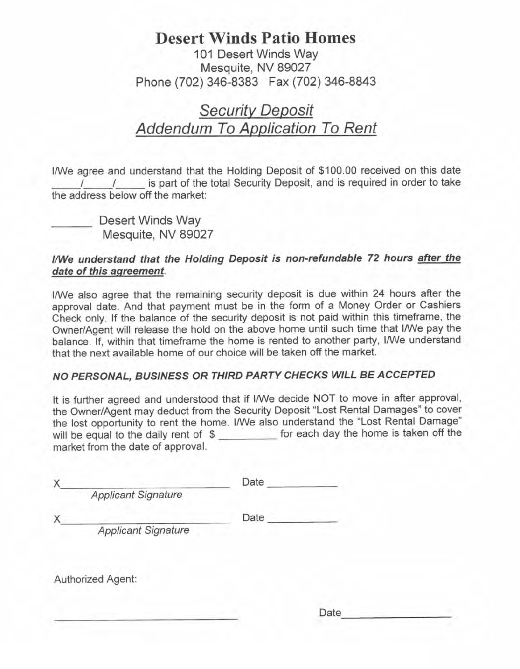### **Desert Winds Patio Homes** 101 Desert Winds Way Mesquite, NV 89027 Phone (702) 346-8383 Fax (702) 346-8843

## **Security Deposit** Addendum To Application To Rent

I/We agree and understand that the Holding Deposit of \$100.00 received on this date is part of the total Security Deposit, and is required in order to take  $\sqrt{ }$ the address below off the market:

Desert Winds Way Mesquite, NV 89027

### I/We understand that the Holding Deposit is non-refundable 72 hours after the date of this agreement.

I/We also agree that the remaining security deposit is due within 24 hours after the approval date. And that payment must be in the form of a Money Order or Cashiers Check only. If the balance of the security deposit is not paid within this timeframe, the Owner/Agent will release the hold on the above home until such time that I/We pay the balance. If, within that timeframe the home is rented to another party, I/We understand that the next available home of our choice will be taken off the market.

### NO PERSONAL, BUSINESS OR THIRD PARTY CHECKS WILL BE ACCEPTED

It is further agreed and understood that if I/We decide NOT to move in after approval, the Owner/Agent may deduct from the Security Deposit "Lost Rental Damages" to cover the lost opportunity to rent the home. I/We also understand the "Lost Rental Damage" will be equal to the daily rent of \$ \_\_\_\_\_\_\_\_\_\_\_ for each day the home is taken off the market from the date of approval.

| Date |
|------|
|      |
| Date |
|      |
|      |
|      |

Date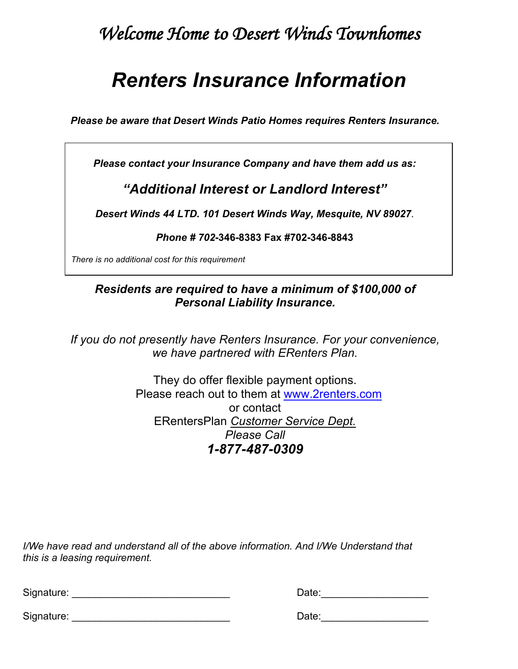## *Welcome Home to Desert Winds Townhomes*

# *Renters Insurance Information*

*Please be aware that Desert Winds Patio Homes requires Renters Insurance.*

*Please contact your Insurance Company and have them add us as:*

## *"Additional Interest or Landlord Interest"*

*Desert Winds 44 LTD. 101 Desert Winds Way, Mesquite, NV 89027*.

*Phone # 702***-346-8383 Fax #702-346-8843**

*There is no additional cost for this requirement*

### *Residents are required to have a minimum of \$100,000 of Personal Liability Insurance.*

*If you do not presently have Renters Insurance. For your convenience, we have partnered with ERenters Plan.*

> They do offer flexible payment options. Please reach out to them at www.2renters.com or contact ERentersPlan *Customer Service Dept. Please Call 1-877-487-0309*

*I/We have read and understand all of the above information. And I/We Understand that this is a leasing requirement.*

| Signature: | )ate: |
|------------|-------|
|            |       |

| Date: |  |  |  |
|-------|--|--|--|
|       |  |  |  |

Signature: \_\_\_\_\_\_\_\_\_\_\_\_\_\_\_\_\_\_\_\_\_\_\_\_\_\_\_\_ Date:\_\_\_\_\_\_\_\_\_\_\_\_\_\_\_\_\_\_\_